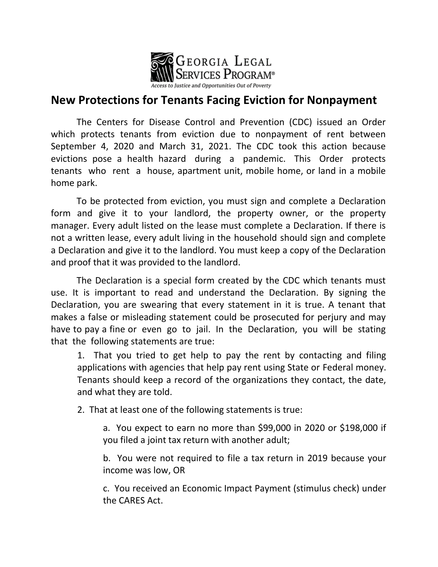

## **New Protections for Tenants Facing Eviction for Nonpayment**

The Centers for Disease Control and Prevention (CDC) issued an Order which protects tenants from eviction due to nonpayment of rent between September 4, 2020 and March 31, 2021. The CDC took this action because evictions pose a health hazard during a pandemic. This Order protects tenants who rent a house, apartment unit, mobile home, or land in a mobile home park.

To be protected from eviction, you must sign and complete a Declaration form and give it to your landlord, the property owner, or the property manager. Every adult listed on the lease must complete a Declaration. If there is not a written lease, every adult living in the household should sign and complete a Declaration and give it to the landlord. You must keep a copy of the Declaration and proof that it was provided to the landlord.

The Declaration is a special form created by the CDC which tenants must use. It is important to read and understand the Declaration. By signing the Declaration, you are swearing that every statement in it is true. A tenant that makes a false or misleading statement could be prosecuted for perjury and may have to pay a fine or even go to jail. In the Declaration, you will be stating that the following statements are true:

1. That you tried to get help to pay the rent by contacting and filing applications with agencies that help pay rent using State or Federal money. Tenants should keep a record of the organizations they contact, the date, and what they are told.

2. That at least one of the following statements is true:

a. You expect to earn no more than \$99,000 in 2020 or \$198,000 if you filed a joint tax return with another adult;

b. You were not required to file a tax return in 2019 because your income was low, OR

c. You received an Economic Impact Payment (stimulus check) under the CARES Act.